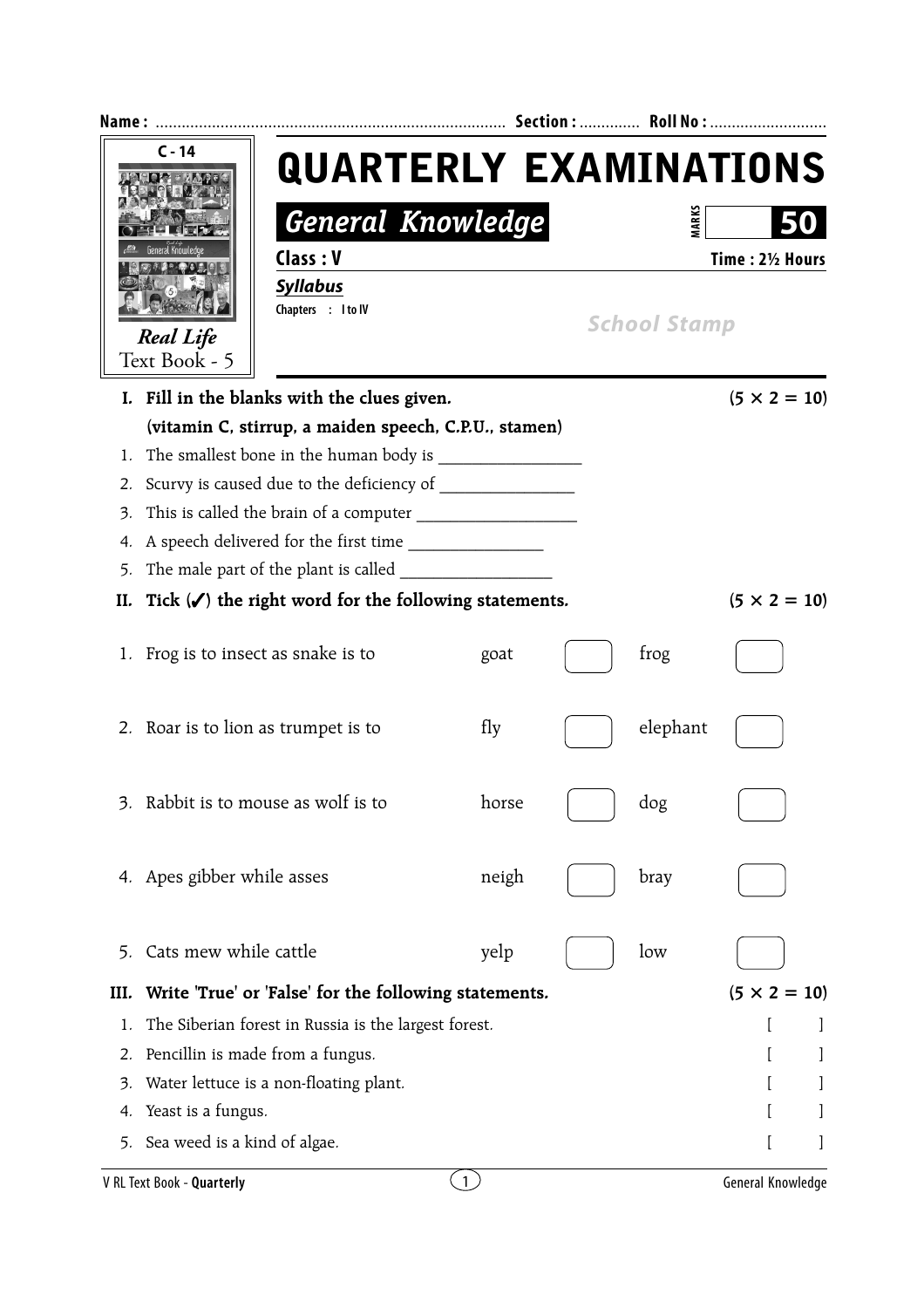|      | $C - 14$<br><b>Real Life</b>              | <b>QUARTERLY EXAMINATIONS</b><br><b>General Knowledge</b><br>Class: V<br><b>Syllabus</b><br>Chapters : I to IV |                  |  | <b>MARKS</b><br><b>School Stamp</b> | Time: 21/2 Hours    |  |  |
|------|-------------------------------------------|----------------------------------------------------------------------------------------------------------------|------------------|--|-------------------------------------|---------------------|--|--|
|      | Text Book - 5                             |                                                                                                                |                  |  |                                     |                     |  |  |
|      |                                           | I. Fill in the blanks with the clues given.                                                                    |                  |  |                                     | $(5 \times 2 = 10)$ |  |  |
|      |                                           | (vitamin C, stirrup, a maiden speech, C.P.U., stamen)                                                          |                  |  |                                     |                     |  |  |
| 1.   |                                           |                                                                                                                |                  |  |                                     |                     |  |  |
| 2.   | Scurvy is caused due to the deficiency of |                                                                                                                |                  |  |                                     |                     |  |  |
| 3.   |                                           |                                                                                                                |                  |  |                                     |                     |  |  |
| 4.   | A speech delivered for the first time     |                                                                                                                |                  |  |                                     |                     |  |  |
| 5.   |                                           |                                                                                                                |                  |  |                                     |                     |  |  |
| II.  |                                           | Tick $(\checkmark)$ the right word for the following statements.                                               |                  |  |                                     | $(5 \times 2 = 10)$ |  |  |
|      | 1. Frog is to insect as snake is to       |                                                                                                                | goat             |  | frog                                |                     |  |  |
|      |                                           | 2. Roar is to lion as trumpet is to                                                                            | fly              |  | elephant                            |                     |  |  |
|      |                                           | Rabbit is to mouse as wolf is to                                                                               | horse            |  | dog                                 |                     |  |  |
|      | 4. Apes gibber while asses                |                                                                                                                | neigh            |  | bray                                |                     |  |  |
| 5.   | Cats mew while cattle                     |                                                                                                                | yelp             |  | low                                 |                     |  |  |
| III. |                                           | Write 'True' or 'False' for the following statements.                                                          |                  |  |                                     | $(5 \times 2 = 10)$ |  |  |
| 1.   |                                           | The Siberian forest in Russia is the largest forest.                                                           |                  |  |                                     |                     |  |  |
| 2.   |                                           | Pencillin is made from a fungus.                                                                               |                  |  |                                     |                     |  |  |
| 3.   |                                           | Water lettuce is a non-floating plant.                                                                         |                  |  |                                     |                     |  |  |
| 4.   | Yeast is a fungus.                        |                                                                                                                |                  |  |                                     |                     |  |  |
| 5.   | Sea weed is a kind of algae.              |                                                                                                                |                  |  |                                     |                     |  |  |
|      | V RL Text Book - Quarterly                |                                                                                                                | $\left(1\right)$ |  |                                     | General Knowledge   |  |  |